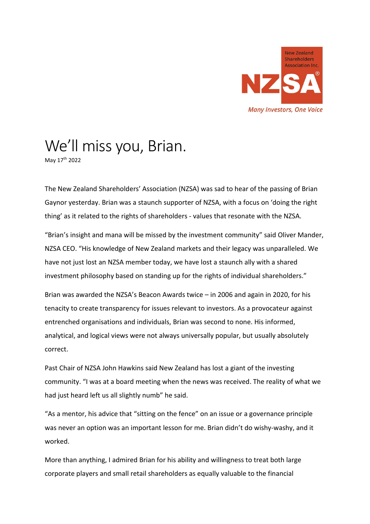

## We'll miss you, Brian.

May 17th 2022

The New Zealand Shareholders' Association (NZSA) was sad to hear of the passing of Brian Gaynor yesterday. Brian was a staunch supporter of NZSA, with a focus on 'doing the right thing' as it related to the rights of shareholders - values that resonate with the NZSA.

"Brian's insight and mana will be missed by the investment community" said Oliver Mander, NZSA CEO. "His knowledge of New Zealand markets and their legacy was unparalleled. We have not just lost an NZSA member today, we have lost a staunch ally with a shared investment philosophy based on standing up for the rights of individual shareholders."

Brian was awarded the NZSA's Beacon Awards twice – in 2006 and again in 2020, for his tenacity to create transparency for issues relevant to investors. As a provocateur against entrenched organisations and individuals, Brian was second to none. His informed, analytical, and logical views were not always universally popular, but usually absolutely correct.

Past Chair of NZSA John Hawkins said New Zealand has lost a giant of the investing community. "I was at a board meeting when the news was received. The reality of what we had just heard left us all slightly numb" he said.

"As a mentor, his advice that "sitting on the fence" on an issue or a governance principle was never an option was an important lesson for me. Brian didn't do wishy-washy, and it worked.

More than anything, I admired Brian for his ability and willingness to treat both large corporate players and small retail shareholders as equally valuable to the financial